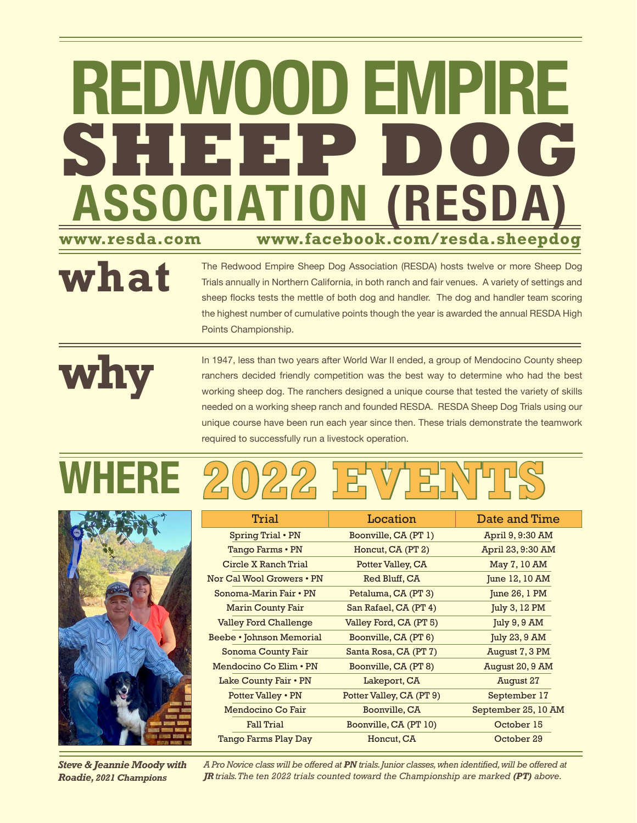# **ASSOCIATION (RESDA) www.resda.com REDWOOD EMPIRE www.facebook.com/resda.sheepdog** SHEEP **B**

The Redwood Empire Sheep Dog Association (RESDA) hosts twelve or more Sheep Dog

Trials annually in Northern California, in both ranch and fair venues. A variety of settings and sheep flocks tests the mettle of both dog and handler. The dog and handler team scoring the highest number of cumulative points though the year is awarded the annual RESDA High Points Championship.

**why**

**what**

In 1947, less than two years after World War II ended, a group of Mendocino County sheep ranchers decided friendly competition was the best way to determine who had the best working sheep dog. The ranchers designed a unique course that tested the variety of skills needed on a working sheep ranch and founded RESDA. RESDA Sheep Dog Trials using our unique course have been run each year since then. These trials demonstrate the teamwork required to successfully run a livestock operation.





Trial **Location** Date and Time Spring Trial • PN Tango Farms • PN Circle X Ranch Trial Nor Cal Wool Growers • PN Sonoma-Marin Fair • PN Marin County Fair Valley Ford Challenge Beebe • Johnson Memorial Sonoma County Fair Mendocino Co Elim • PN Lake County Fair • PN Potter Valley • PN Mendocino Co Fair Fall Trial Tango Farms Play Day Boonville, CA (PT 1) Honcut, CA (PT 2) Potter Valley, CA Red Bluff, CA Petaluma, CA (PT 3) San Rafael, CA (PT 4) Valley Ford, CA (PT 5) Boonville, CA (PT 6) Santa Rosa, CA (PT 7) Boonville, CA (PT 8) Lakeport, CA Potter Valley, CA (PT 9) Boonville, CA Boonville, CA (PT 10) Honcut, CA April 9, 9:30 AM April 23, 9:30 AM May 7, 10 AM June 12, 10 AM June 26, 1 PM July 3, 12 PM July 9, 9 AM July 23, 9 AM August 7, 3 PM August 20, 9 AM August 27 September 17 September 25, 10 AM October 15 October 29

*Steve & Jeannie Moody with Roadie, 2021 Champions*

*A Pro Novice class will be offered at PN trials. Junior classes, when identified, will be offered at JR trials. The ten 2022 trials counted toward the Championship are marked (PT) above.*